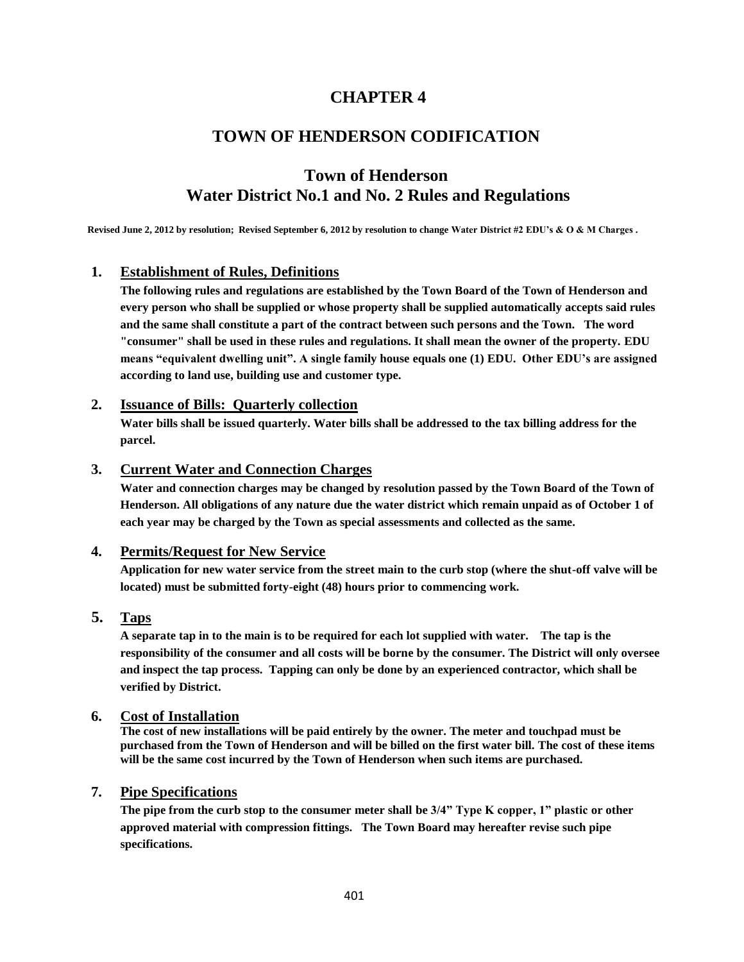# **CHAPTER 4**

# **TOWN OF HENDERSON CODIFICATION**

# **Town of Henderson Water District No.1 and No. 2 Rules and Regulations**

**Revised June 2, 2012 by resolution; Revised September 6, 2012 by resolution to change Water District #2 EDU's & O & M Charges .**

### **1. Establishment of Rules, Definitions**

**The following rules and regulations are established by the Town Board of the Town of Henderson and every person who shall be supplied or whose property shall be supplied automatically accepts said rules and the same shall constitute a part of the contract between such persons and the Town. The word "consumer" shall be used in these rules and regulations. It shall mean the owner of the property. EDU means "equivalent dwelling unit". A single family house equals one (1) EDU. Other EDU's are assigned according to land use, building use and customer type.**

### **2. Issuance of Bills: Quarterly collection**

**Water bills shall be issued quarterly. Water bills shall be addressed to the tax billing address for the parcel.**

### **3. Current Water and Connection Charges**

**Water and connection charges may be changed by resolution passed by the Town Board of the Town of Henderson. All obligations of any nature due the water district which remain unpaid as of October 1 of each year may be charged by the Town as special assessments and collected as the same.**

### **4. Permits/Request for New Service**

**Application for new water service from the street main to the curb stop (where the shut-off valve will be located) must be submitted forty-eight (48) hours prior to commencing work.**

### **5. Taps**

**A separate tap in to the main is to be required for each lot supplied with water. The tap is the responsibility of the consumer and all costs will be borne by the consumer. The District will only oversee and inspect the tap process. Tapping can only be done by an experienced contractor, which shall be verified by District.**

### **6. Cost of Installation**

**The cost of new installations will be paid entirely by the owner. The meter and touchpad must be purchased from the Town of Henderson and will be billed on the first water bill. The cost of these items will be the same cost incurred by the Town of Henderson when such items are purchased.** 

### **7. Pipe Specifications**

**The pipe from the curb stop to the consumer meter shall be 3/4" Type K copper, 1" plastic or other approved material with compression fittings. The Town Board may hereafter revise such pipe specifications.**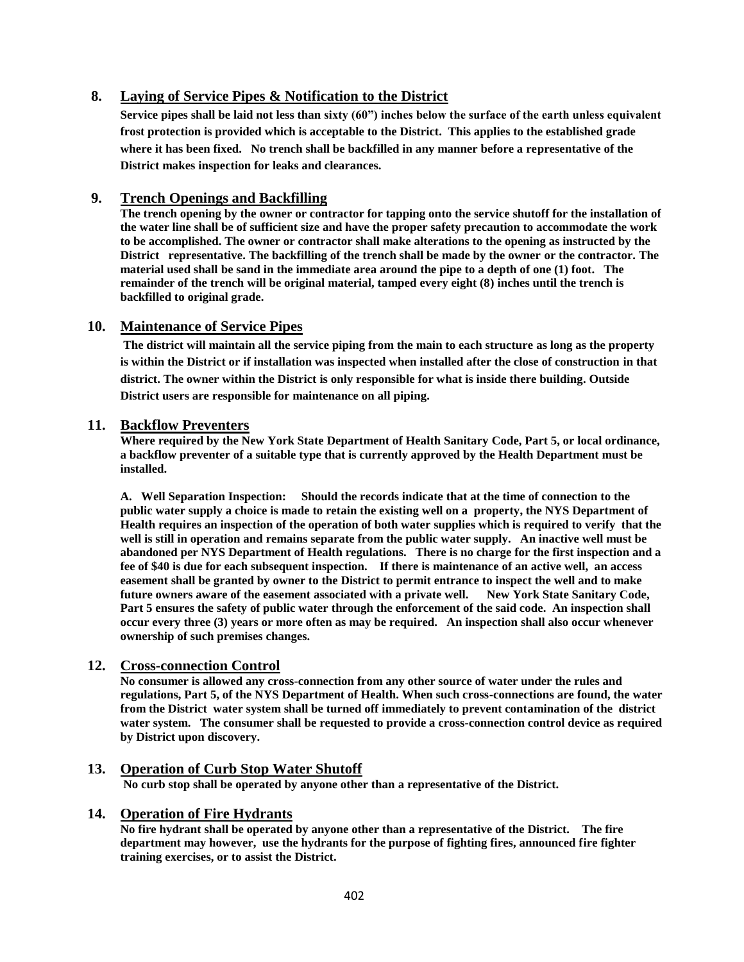### **8. Laying of Service Pipes & Notification to the District**

**Service pipes shall be laid not less than sixty (60") inches below the surface of the earth unless equivalent frost protection is provided which is acceptable to the District. This applies to the established grade where it has been fixed. No trench shall be backfilled in any manner before a representative of the District makes inspection for leaks and clearances.**

### **9. Trench Openings and Backfilling**

**The trench opening by the owner or contractor for tapping onto the service shutoff for the installation of the water line shall be of sufficient size and have the proper safety precaution to accommodate the work to be accomplished. The owner or contractor shall make alterations to the opening as instructed by the District representative. The backfilling of the trench shall be made by the owner or the contractor. The material used shall be sand in the immediate area around the pipe to a depth of one (1) foot. The remainder of the trench will be original material, tamped every eight (8) inches until the trench is backfilled to original grade.**

### **10. Maintenance of Service Pipes**

**The district will maintain all the service piping from the main to each structure as long as the property is within the District or if installation was inspected when installed after the close of construction in that district. The owner within the District is only responsible for what is inside there building. Outside District users are responsible for maintenance on all piping.** 

### **11. Backflow Preventers**

**Where required by the New York State Department of Health Sanitary Code, Part 5, or local ordinance, a backflow preventer of a suitable type that is currently approved by the Health Department must be installed.**

**A. Well Separation Inspection: Should the records indicate that at the time of connection to the public water supply a choice is made to retain the existing well on a property, the NYS Department of Health requires an inspection of the operation of both water supplies which is required to verify that the well is still in operation and remains separate from the public water supply. An inactive well must be abandoned per NYS Department of Health regulations. There is no charge for the first inspection and a fee of \$40 is due for each subsequent inspection. If there is maintenance of an active well, an access easement shall be granted by owner to the District to permit entrance to inspect the well and to make future owners aware of the easement associated with a private well. New York State Sanitary Code, Part 5 ensures the safety of public water through the enforcement of the said code. An inspection shall occur every three (3) years or more often as may be required. An inspection shall also occur whenever ownership of such premises changes.** 

### **12. Cross-connection Control**

**No consumer is allowed any cross-connection from any other source of water under the rules and regulations, Part 5, of the NYS Department of Health. When such cross-connections are found, the water from the District water system shall be turned off immediately to prevent contamination of the district water system. The consumer shall be requested to provide a cross-connection control device as required by District upon discovery.**

**13. Operation of Curb Stop Water Shutoff No curb stop shall be operated by anyone other than a representative of the District.**

### **14. Operation of Fire Hydrants**

**No fire hydrant shall be operated by anyone other than a representative of the District. The fire department may however, use the hydrants for the purpose of fighting fires, announced fire fighter training exercises, or to assist the District.**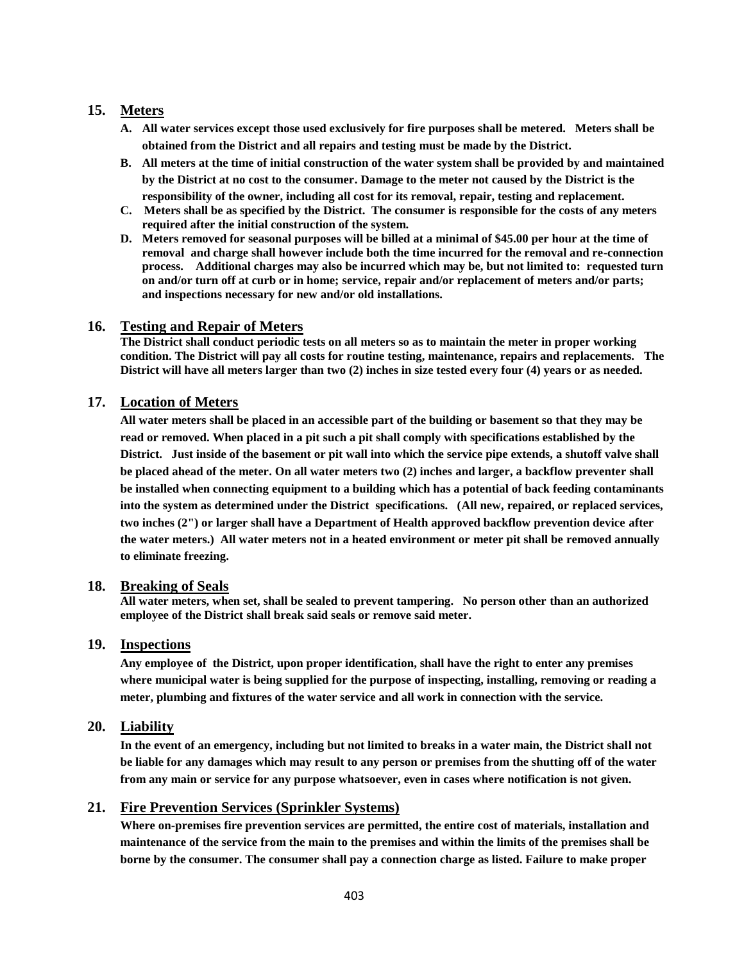### **15. Meters**

- **A. All water services except those used exclusively for fire purposes shall be metered. Meters shall be obtained from the District and all repairs and testing must be made by the District.**
- **B. All meters at the time of initial construction of the water system shall be provided by and maintained by the District at no cost to the consumer. Damage to the meter not caused by the District is the responsibility of the owner, including all cost for its removal, repair, testing and replacement.**
- **C. Meters shall be as specified by the District. The consumer is responsible for the costs of any meters required after the initial construction of the system.**
- **D. Meters removed for seasonal purposes will be billed at a minimal of \$45.00 per hour at the time of removal and charge shall however include both the time incurred for the removal and re-connection process. Additional charges may also be incurred which may be, but not limited to: requested turn on and/or turn off at curb or in home; service, repair and/or replacement of meters and/or parts; and inspections necessary for new and/or old installations.**

### **16. Testing and Repair of Meters**

**The District shall conduct periodic tests on all meters so as to maintain the meter in proper working condition. The District will pay all costs for routine testing, maintenance, repairs and replacements. The District will have all meters larger than two (2) inches in size tested every four (4) years or as needed.** 

### **17. Location of Meters**

**All water meters shall be placed in an accessible part of the building or basement so that they may be read or removed. When placed in a pit such a pit shall comply with specifications established by the District. Just inside of the basement or pit wall into which the service pipe extends, a shutoff valve shall be placed ahead of the meter. On all water meters two (2) inches and larger, a backflow preventer shall be installed when connecting equipment to a building which has a potential of back feeding contaminants into the system as determined under the District specifications. (All new, repaired, or replaced services, two inches (2") or larger shall have a Department of Health approved backflow prevention device after the water meters.) All water meters not in a heated environment or meter pit shall be removed annually to eliminate freezing.**

### **18. Breaking of Seals**

**All water meters, when set, shall be sealed to prevent tampering. No person other than an authorized employee of the District shall break said seals or remove said meter.**

### **19. Inspections**

**Any employee of the District, upon proper identification, shall have the right to enter any premises where municipal water is being supplied for the purpose of inspecting, installing, removing or reading a meter, plumbing and fixtures of the water service and all work in connection with the service.**

### **20. Liability**

**In the event of an emergency, including but not limited to breaks in a water main, the District shall not be liable for any damages which may result to any person or premises from the shutting off of the water from any main or service for any purpose whatsoever, even in cases where notification is not given.**

### **21. Fire Prevention Services (Sprinkler Systems)**

**Where on-premises fire prevention services are permitted, the entire cost of materials, installation and maintenance of the service from the main to the premises and within the limits of the premises shall be borne by the consumer. The consumer shall pay a connection charge as listed. Failure to make proper**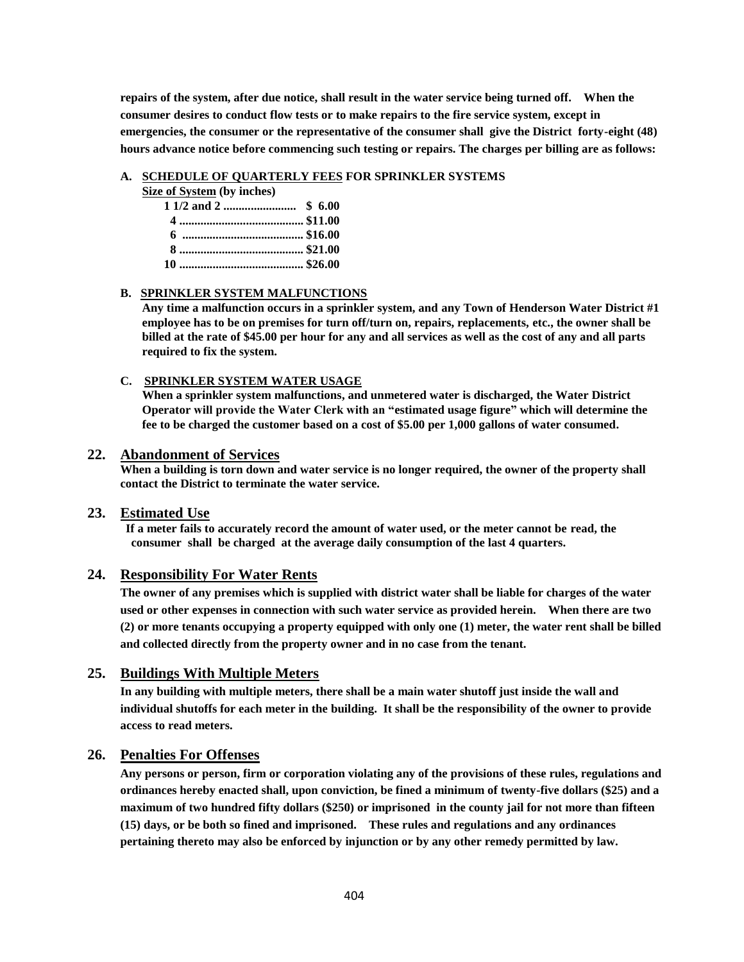**repairs of the system, after due notice, shall result in the water service being turned off. When the consumer desires to conduct flow tests or to make repairs to the fire service system, except in emergencies, the consumer or the representative of the consumer shall give the District forty-eight (48) hours advance notice before commencing such testing or repairs. The charges per billing are as follows:**

#### **A. SCHEDULE OF QUARTERLY FEES FOR SPRINKLER SYSTEMS**

|  |  | <b>Size of System</b> (by inches) |  |
|--|--|-----------------------------------|--|
|  |  |                                   |  |

- **1 1/2 and 2 ........................ \$ 6.00 4 ......................................... \$11.00 6 ........................................ \$16.00 8 ......................................... \$21.00**
- **10 ......................................... \$26.00**

#### **B. SPRINKLER SYSTEM MALFUNCTIONS**

**Any time a malfunction occurs in a sprinkler system, and any Town of Henderson Water District #1 employee has to be on premises for turn off/turn on, repairs, replacements, etc., the owner shall be billed at the rate of \$45.00 per hour for any and all services as well as the cost of any and all parts required to fix the system.**

#### **C. SPRINKLER SYSTEM WATER USAGE**

**When a sprinkler system malfunctions, and unmetered water is discharged, the Water District Operator will provide the Water Clerk with an "estimated usage figure" which will determine the fee to be charged the customer based on a cost of \$5.00 per 1,000 gallons of water consumed.** 

#### **22. Abandonment of Services**

**When a building is torn down and water service is no longer required, the owner of the property shall contact the District to terminate the water service.**

### **23. Estimated Use**

**If a meter fails to accurately record the amount of water used, or the meter cannot be read, the consumer shall be charged at the average daily consumption of the last 4 quarters.** 

### **24. Responsibility For Water Rents**

**The owner of any premises which is supplied with district water shall be liable for charges of the water used or other expenses in connection with such water service as provided herein. When there are two (2) or more tenants occupying a property equipped with only one (1) meter, the water rent shall be billed and collected directly from the property owner and in no case from the tenant.**

#### **25. Buildings With Multiple Meters**

**In any building with multiple meters, there shall be a main water shutoff just inside the wall and individual shutoffs for each meter in the building. It shall be the responsibility of the owner to provide access to read meters.**

### **26. Penalties For Offenses**

**Any persons or person, firm or corporation violating any of the provisions of these rules, regulations and ordinances hereby enacted shall, upon conviction, be fined a minimum of twenty-five dollars (\$25) and a maximum of two hundred fifty dollars (\$250) or imprisoned in the county jail for not more than fifteen (15) days, or be both so fined and imprisoned. These rules and regulations and any ordinances pertaining thereto may also be enforced by injunction or by any other remedy permitted by law.**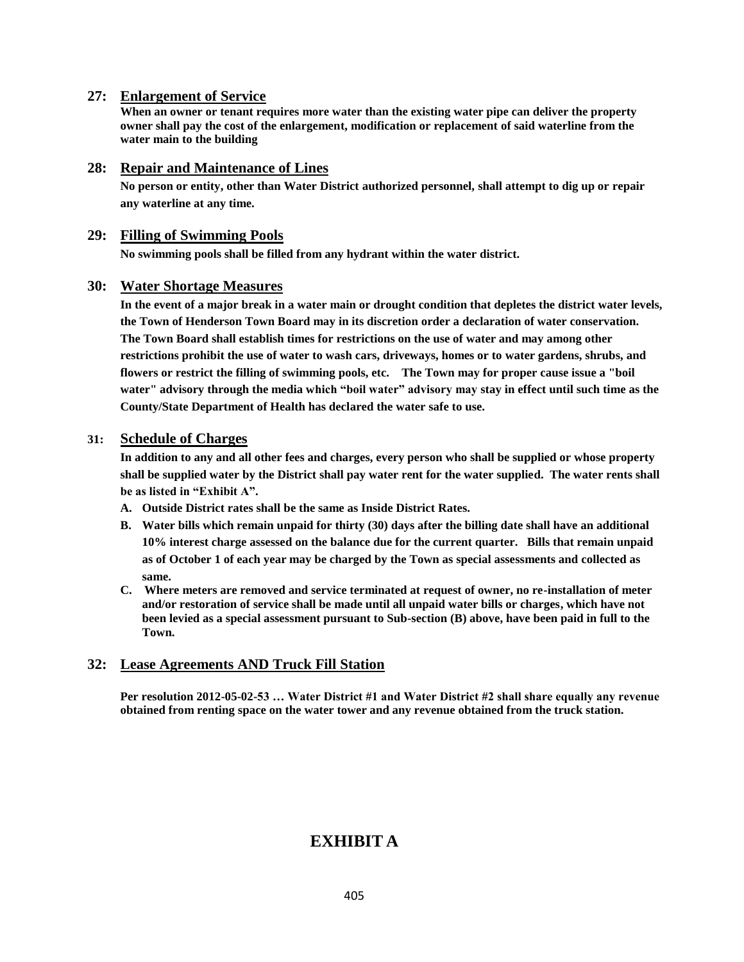### **27: Enlargement of Service**

**When an owner or tenant requires more water than the existing water pipe can deliver the property owner shall pay the cost of the enlargement, modification or replacement of said waterline from the water main to the building**

### **28: Repair and Maintenance of Lines**

**No person or entity, other than Water District authorized personnel, shall attempt to dig up or repair any waterline at any time.** 

### **29: Filling of Swimming Pools**

**No swimming pools shall be filled from any hydrant within the water district.**

### **30: Water Shortage Measures**

**In the event of a major break in a water main or drought condition that depletes the district water levels, the Town of Henderson Town Board may in its discretion order a declaration of water conservation. The Town Board shall establish times for restrictions on the use of water and may among other restrictions prohibit the use of water to wash cars, driveways, homes or to water gardens, shrubs, and flowers or restrict the filling of swimming pools, etc. The Town may for proper cause issue a "boil water" advisory through the media which "boil water" advisory may stay in effect until such time as the County/State Department of Health has declared the water safe to use.**

### **31: Schedule of Charges**

**In addition to any and all other fees and charges, every person who shall be supplied or whose property shall be supplied water by the District shall pay water rent for the water supplied. The water rents shall be as listed in "Exhibit A".**

- **A. Outside District rates shall be the same as Inside District Rates.**
- **B. Water bills which remain unpaid for thirty (30) days after the billing date shall have an additional 10% interest charge assessed on the balance due for the current quarter. Bills that remain unpaid as of October 1 of each year may be charged by the Town as special assessments and collected as same.**
- **C. Where meters are removed and service terminated at request of owner, no re-installation of meter and/or restoration of service shall be made until all unpaid water bills or charges, which have not been levied as a special assessment pursuant to Sub-section (B) above, have been paid in full to the Town.**

### **32: Lease Agreements AND Truck Fill Station**

**Per resolution 2012-05-02-53 … Water District #1 and Water District #2 shall share equally any revenue obtained from renting space on the water tower and any revenue obtained from the truck station.**

# **EXHIBIT A**